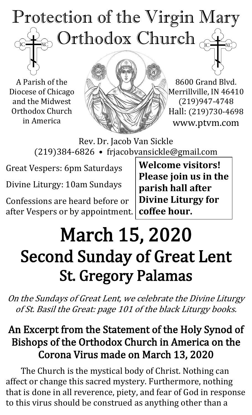# Protection of the Virgin Mary  $_{\odot}$  Orthodox Church  $_{\odot}$  $\overline{C}$

A Parish of the Diocese of Chicago and the Midwest Orthodox Church in America



8600 Grand Blvd. Merrillville, IN 46410 (219)947-4748 Hall: (219)730-4698 www.ptvm.com

Rev. Dr. Jacob Van Sickle (219)384-6826 • frjacobvansickle@gmail.com

Great Vespers: 6pm Saturdays

Divine Liturgy: 10am Sundays

Confessions are heard before or after Vespers or by appointment. **Welcome visitors! Please join us in the parish hall after Divine Liturgy for coffee hour.**

# March 15, 2020 Second Sunday of Great Lent St. Gregory Palamas

On the Sundays of Great Lent, we celebrate the Divine Liturgy of St. Basil the Great: page 101 of the black Liturgy books.

## An Excerpt from the Statement of the Holy Synod of Bishops of the Orthodox Church in America on the Corona Virus made on March 13, 2020

The Church is the mystical body of Christ. Nothing can affect or change this sacred mystery. Furthermore, nothing that is done in all reverence, piety, and fear of God in response to this virus should be construed as anything other than a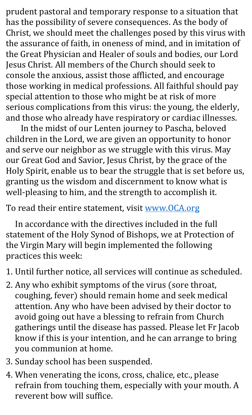prudent pastoral and temporary response to a situation that has the possibility of severe consequences. As the body of Christ, we should meet the challenges posed by this virus with the assurance of faith, in oneness of mind, and in imitation of the Great Physician and Healer of souls and bodies, our Lord Jesus Christ. All members of the Church should seek to console the anxious, assist those afflicted, and encourage those working in medical professions. All faithful should pay special attention to those who might be at risk of more serious complications from this virus: the young, the elderly, and those who already have respiratory or cardiac illnesses.

In the midst of our Lenten journey to Pascha, beloved children in the Lord, we are given an opportunity to honor and serve our neighbor as we struggle with this virus. May our Great God and Savior, Jesus Christ, by the grace of the Holy Spirit, enable us to bear the struggle that is set before us, granting us the wisdom and discernment to know what is well-pleasing to him, and the strength to accomplish it.

#### To read their entire statement, visit [www.OCA.org](http://www.oca.org/)

In accordance with the directives included in the full statement of the Holy Synod of Bishops, we at Protection of the Virgin Mary will begin implemented the following practices this week:

- 1. Until further notice, all services will continue as scheduled.
- 2. Any who exhibit symptoms of the virus (sore throat, coughing, fever) should remain home and seek medical attention. Any who have been advised by their doctor to avoid going out have a blessing to refrain from Church gatherings until the disease has passed. Please let Fr Jacob know if this is your intention, and he can arrange to bring you communion at home.
- 3. Sunday school has been suspended.
- 4. When venerating the icons, cross, chalice, etc., please refrain from touching them, especially with your mouth. A reverent bow will suffice.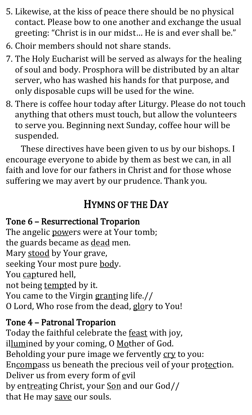- 5. Likewise, at the kiss of peace there should be no physical contact. Please bow to one another and exchange the usual greeting: "Christ is in our midst… He is and ever shall be."
- 6. Choir members should not share stands.
- 7. The Holy Eucharist will be served as always for the healing of soul and body. Prosphora will be distributed by an altar server, who has washed his hands for that purpose, and only disposable cups will be used for the wine.
- 8. There is coffee hour today after Liturgy. Please do not touch anything that others must touch, but allow the volunteers to serve you. Beginning next Sunday, coffee hour will be suspended.

These directives have been given to us by our bishops. I encourage everyone to abide by them as best we can, in all faith and love for our fathers in Christ and for those whose suffering we may avert by our prudence. Thank you.

# HYMNS OF THE DAY

#### Tone 6 – Resurrectional Troparion

The angelic powers were at Your tomb; the guards became as dead men. Mary stood by Your grave, seeking Your most pure body. You captured hell, not being tempted by it. You came to the Virgin granting life.// O Lord, Who rose from the dead, glory to You!

#### Tone 4 – Patronal Troparion

Today the faithful celebrate the feast with joy, illumined by your coming, O Mother of God. Beholding your pure image we fervently cry to you: Encompass us beneath the precious veil of your protection. Deliver us from every form of evil by entreating Christ, your Son and our God// that He may save our souls.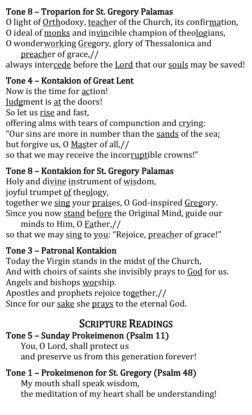#### Tone 8 – Troparion for St. Gregory Palamas

O light of Orthodoxy, teacher of the Church, its confirmation,

O ideal of monks and invincible champion of theologians,

O wonderworking Gregory, glory of Thessalonica and preacher of grace,//

always intercede before the Lord that our souls may be saved!

#### Tone 4 – Kontakion of Great Lent

Now is the time for action! Judgment is at the doors! So let us rise and fast, offering alms with tears of compunction and crying: "Our sins are more in number than the sands of the sea; but forgive us, O Master of all,// so that we may receive the incorruptible crowns!"

#### Tone 8 – Kontakion for St. Gregory Palamas

Holy and divine instrument of wisdom,

joyful trumpet of theology,

together we sing your praises, O God-inspired Gregory. Since you now stand before the Original Mind, guide our

minds to Him, O **Father,//** so that we may sing to you: "Rejoice, preacher of grace!"

#### Tone 3 – Patronal Kontakion

Today the Virgin stands in the midst of the Church, And with choirs of saints she invisibly prays to God for us. Angels and bishops worship.

Apostles and prophets rejoice together,// Since for our sake she prays to the eternal God.

### SCRIPTURE READINGS

# Tone 5 – Sunday Prokeimenon (Psalm 11)

You, O Lord, shall protect us and preserve us from this generation forever!

# Tone 1 – Prokeimenon for St. Gregory (Psalm 48) My mouth shall speak wisdom,

the meditation of my heart shall be understanding!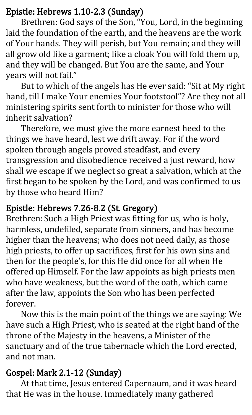#### Epistle: Hebrews 1.10-2.3 (Sunday)

Brethren: God says of the Son, "You, Lord, in the beginning laid the foundation of the earth, and the heavens are the work of Your hands. They will perish, but You remain; and they will all grow old like a garment; like a cloak You will fold them up, and they will be changed. But You are the same, and Your years will not fail."

But to which of the angels has He ever said: "Sit at My right hand, till I make Your enemies Your footstool"? Are they not all ministering spirits sent forth to minister for those who will inherit salvation?

Therefore, we must give the more earnest heed to the things we have heard, lest we drift away. For if the word spoken through angels proved steadfast, and every transgression and disobedience received a just reward, how shall we escape if we neglect so great a salvation, which at the first began to be spoken by the Lord, and was confirmed to us by those who heard Him?

#### Epistle: Hebrews 7.26-8.2 (St. Gregory)

Brethren: Such a High Priest was fitting for us, who is holy, harmless, undefiled, separate from sinners, and has become higher than the heavens; who does not need daily, as those high priests, to offer up sacrifices, first for his own sins and then for the people's, for this He did once for all when He offered up Himself. For the law appoints as high priests men who have weakness, but the word of the oath, which came after the law, appoints the Son who has been perfected forever.

Now this is the main point of the things we are saying: We have such a High Priest, who is seated at the right hand of the throne of the Majesty in the heavens, a Minister of the sanctuary and of the true tabernacle which the Lord erected, and not man.

#### Gospel: Mark 2.1-12 (Sunday)

At that time, Jesus entered Capernaum, and it was heard that He was in the house. Immediately many gathered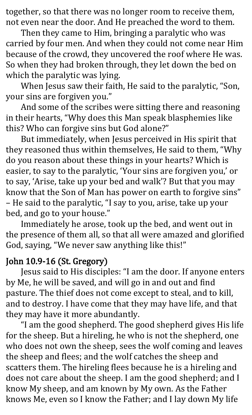together, so that there was no longer room to receive them, not even near the door. And He preached the word to them.

Then they came to Him, bringing a paralytic who was carried by four men. And when they could not come near Him because of the crowd, they uncovered the roof where He was. So when they had broken through, they let down the bed on which the paralytic was lying.

When Jesus saw their faith, He said to the paralytic, "Son, your sins are forgiven you."

And some of the scribes were sitting there and reasoning in their hearts, "Why does this Man speak blasphemies like this? Who can forgive sins but God alone?"

But immediately, when Jesus perceived in His spirit that they reasoned thus within themselves, He said to them, "Why do you reason about these things in your hearts? Which is easier, to say to the paralytic, 'Your sins are forgiven you,' or to say, 'Arise, take up your bed and walk'? But that you may know that the Son of Man has power on earth to forgive sins" – He said to the paralytic, "I say to you, arise, take up your bed, and go to your house."

Immediately he arose, took up the bed, and went out in the presence of them all, so that all were amazed and glorified God, saying, "We never saw anything like this!"

#### John 10.9-16 (St. Gregory)

Jesus said to His disciples: "I am the door. If anyone enters by Me, he will be saved, and will go in and out and find pasture. The thief does not come except to steal, and to kill, and to destroy. I have come that they may have life, and that they may have it more abundantly.

"I am the good shepherd. The good shepherd gives His life for the sheep. But a hireling, he who is not the shepherd, one who does not own the sheep, sees the wolf coming and leaves the sheep and flees; and the wolf catches the sheep and scatters them. The hireling flees because he is a hireling and does not care about the sheep. I am the good shepherd; and I know My sheep, and am known by My own. As the Father knows Me, even so I know the Father; and I lay down My life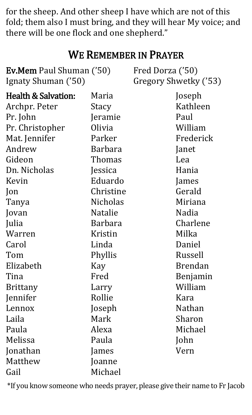for the sheep. And other sheep I have which are not of this fold; them also I must bring, and they will hear My voice; and there will be one flock and one shepherd."

| <b>WE REMEMBER IN PRAYER</b>                           |                |                                           |
|--------------------------------------------------------|----------------|-------------------------------------------|
| <b>Ev.Mem</b> Paul Shuman ('50)<br>Ignaty Shuman ('50) |                | Fred Dorza ('50)<br>Gregory Shwetky ('53) |
| <b>Health &amp; Salvation:</b>                         | Maria          | Joseph                                    |
| Archpr. Peter                                          | <b>Stacy</b>   | Kathleen                                  |
| Pr. John                                               | Jeramie        | Paul                                      |
| Pr. Christopher                                        | Olivia         | William                                   |
| Mat. Jennifer                                          | Parker         | Frederick                                 |
| Andrew                                                 | <b>Barbara</b> | Janet                                     |
| Gideon                                                 | Thomas         | Lea                                       |
| Dn. Nicholas                                           | Jessica        | Hania                                     |
| Kevin                                                  | Eduardo        | James                                     |
| Jon                                                    | Christine      | Gerald                                    |
| Tanya                                                  | Nicholas       | Miriana                                   |
| Jovan                                                  | <b>Natalie</b> | Nadia                                     |
| Julia                                                  | <b>Barbara</b> | Charlene                                  |
| Warren                                                 | Kristin        | Milka                                     |
| Carol                                                  | Linda          | Daniel                                    |
| Tom                                                    | Phyllis        | Russell                                   |
| Elizabeth                                              | Kay            | <b>Brendan</b>                            |
| Tina                                                   | Fred           | Benjamin                                  |
| <b>Brittany</b>                                        | Larry          | William                                   |
| Jennifer                                               | Rollie         | Kara                                      |
| Lennox                                                 | Joseph         | Nathan                                    |
| Laila                                                  | Mark           | Sharon                                    |
| Paula                                                  | Alexa          | Michael                                   |
| Melissa                                                | Paula          | John                                      |
| Jonathan                                               | James          | Vern                                      |
| Matthew                                                | Joanne         |                                           |
| Gail                                                   | Michael        |                                           |

\*If you know someone who needs prayer, please give their name to Fr Jacob